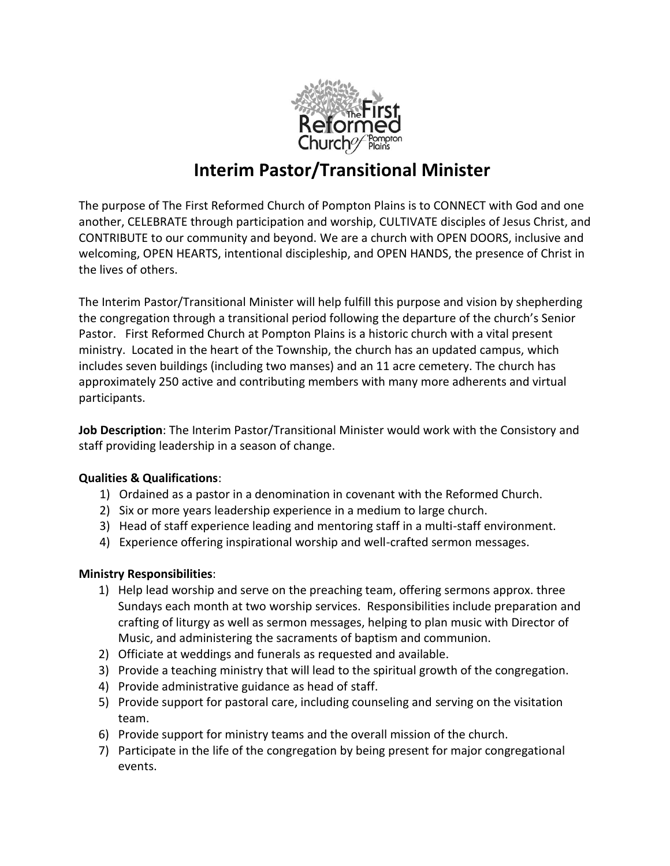

# **Interim Pastor/Transitional Minister**

The purpose of The First Reformed Church of Pompton Plains is to CONNECT with God and one another, CELEBRATE through participation and worship, CULTIVATE disciples of Jesus Christ, and CONTRIBUTE to our community and beyond. We are a church with OPEN DOORS, inclusive and welcoming, OPEN HEARTS, intentional discipleship, and OPEN HANDS, the presence of Christ in the lives of others.

The Interim Pastor/Transitional Minister will help fulfill this purpose and vision by shepherding the congregation through a transitional period following the departure of the church's Senior Pastor. First Reformed Church at Pompton Plains is a historic church with a vital present ministry. Located in the heart of the Township, the church has an updated campus, which includes seven buildings (including two manses) and an 11 acre cemetery. The church has approximately 250 active and contributing members with many more adherents and virtual participants.

**Job Description**: The Interim Pastor/Transitional Minister would work with the Consistory and staff providing leadership in a season of change.

# **Qualities & Qualifications**:

- 1) Ordained as a pastor in a denomination in covenant with the Reformed Church.
- 2) Six or more years leadership experience in a medium to large church.
- 3) Head of staff experience leading and mentoring staff in a multi-staff environment.
- 4) Experience offering inspirational worship and well-crafted sermon messages.

# **Ministry Responsibilities**:

- 1) Help lead worship and serve on the preaching team, offering sermons approx. three Sundays each month at two worship services. Responsibilities include preparation and crafting of liturgy as well as sermon messages, helping to plan music with Director of Music, and administering the sacraments of baptism and communion.
- 2) Officiate at weddings and funerals as requested and available.
- 3) Provide a teaching ministry that will lead to the spiritual growth of the congregation.
- 4) Provide administrative guidance as head of staff.
- 5) Provide support for pastoral care, including counseling and serving on the visitation team.
- 6) Provide support for ministry teams and the overall mission of the church.
- 7) Participate in the life of the congregation by being present for major congregational events.